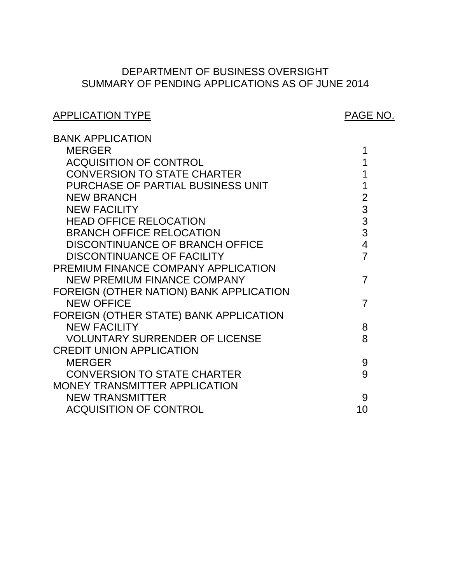# SUMMARY OF PENDING APPLICATIONS AS OF JUNE 2014 DEPARTMENT OF BUSINESS OVERSIGHT

# APPLICATION TYPE APPLICATION TYPE

| <b>BANK APPLICATION</b>                 |                |
|-----------------------------------------|----------------|
| <b>MERGER</b>                           | 1              |
| <b>ACQUISITION OF CONTROL</b>           | 1              |
| <b>CONVERSION TO STATE CHARTER</b>      |                |
| PURCHASE OF PARTIAL BUSINESS UNIT       | 1              |
| <b>NEW BRANCH</b>                       | $\overline{2}$ |
| <b>NEW FACILITY</b>                     | 3              |
| <b>HEAD OFFICE RELOCATION</b>           | 3              |
| <b>BRANCH OFFICE RELOCATION</b>         | 3              |
| <b>DISCONTINUANCE OF BRANCH OFFICE</b>  | $\overline{4}$ |
| <b>DISCONTINUANCE OF FACILITY</b>       | $\overline{7}$ |
| PREMIUM FINANCE COMPANY APPLICATION     |                |
| NEW PREMIUM FINANCE COMPANY             | $\overline{7}$ |
| FOREIGN (OTHER NATION) BANK APPLICATION |                |
| <b>NEW OFFICE</b>                       | 7              |
| FOREIGN (OTHER STATE) BANK APPLICATION  |                |
| <b>NEW FACILITY</b>                     | 8              |
| <b>VOLUNTARY SURRENDER OF LICENSE</b>   | 8              |
| <b>CREDIT UNION APPLICATION</b>         |                |
| <b>MERGER</b>                           | 9              |
| <b>CONVERSION TO STATE CHARTER</b>      | 9              |
| MONEY TRANSMITTER APPLICATION           |                |
| <b>NEW TRANSMITTER</b>                  | 9              |
| <b>ACQUISITION OF CONTROL</b>           | 10             |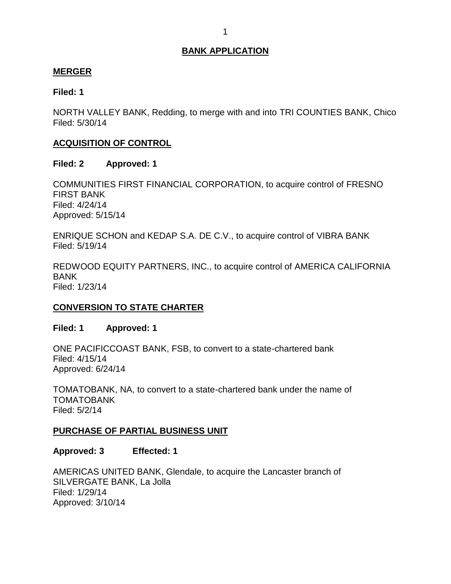## <span id="page-1-0"></span>**MERGER**

## **Filed: 1**

 NORTH VALLEY BANK, Redding, to merge with and into TRI COUNTIES BANK, Chico Filed: 5/30/14

## **ACQUISITION OF CONTROL**

## **Filed: 2 Approved: 1**

 COMMUNITIES FIRST FINANCIAL CORPORATION, to acquire control of FRESNO FIRST BANK Filed: 4/24/14 Approved: 5/15/14

 ENRIQUE SCHON and KEDAP S.A. DE C.V., to acquire control of VIBRA BANK Filed: 5/19/14

 REDWOOD EQUITY PARTNERS, INC., to acquire control of AMERICA CALIFORNIA BANK Filed: 1/23/14

## **CONVERSION TO STATE CHARTER**

## **Filed: 1 Approved: 1**

 ONE PACIFICCOAST BANK, FSB, to convert to a state-chartered bank Filed: 4/15/14 Approved: 6/24/14

 TOMATOBANK, NA, to convert to a state-chartered bank under the name of TOMATOBANK Filed: 5/2/14

## **PURCHASE OF PARTIAL BUSINESS UNIT**

**Approved: 3 Effected: 1** 

 AMERICAS UNITED BANK, Glendale, to acquire the Lancaster branch of SILVERGATE BANK, La Jolla Filed: 1/29/14 Approved: 3/10/14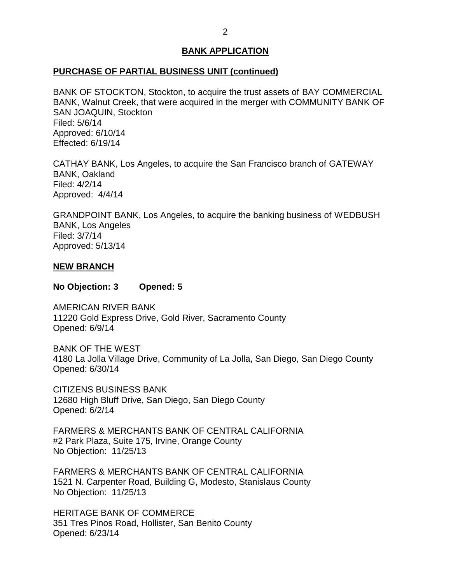## <span id="page-2-0"></span>**PURCHASE OF PARTIAL BUSINESS UNIT (continued)**

 BANK OF STOCKTON, Stockton, to acquire the trust assets of BAY COMMERCIAL BANK, Walnut Creek, that were acquired in the merger with COMMUNITY BANK OF SAN JOAQUIN, Stockton Filed: 5/6/14 Approved: 6/10/14 Effected: 6/19/14

 CATHAY BANK, Los Angeles, to acquire the San Francisco branch of GATEWAY Approved: 4/4/14 BANK, Oakland Filed: 4/2/14

 GRANDPOINT BANK, Los Angeles, to acquire the banking business of WEDBUSH BANK, Los Angeles Filed: 3/7/14 Approved: 5/13/14

### **NEW BRANCH**

**No Objection: 3 Opened: 5** 

 11220 Gold Express Drive, Gold River, Sacramento County AMERICAN RIVER BANK Opened: 6/9/14

 BANK OF THE WEST 4180 La Jolla Village Drive, Community of La Jolla, San Diego, San Diego County Opened: 6/30/14

 12680 High Bluff Drive, San Diego, San Diego County CITIZENS BUSINESS BANK Opened: 6/2/14

 FARMERS & MERCHANTS BANK OF CENTRAL CALIFORNIA #2 Park Plaza, Suite 175, Irvine, Orange County No Objection: 11/25/13

 FARMERS & MERCHANTS BANK OF CENTRAL CALIFORNIA 1521 N. Carpenter Road, Building G, Modesto, Stanislaus County No Objection: 11/25/13

 HERITAGE BANK OF COMMERCE 351 Tres Pinos Road, Hollister, San Benito County Opened: 6/23/14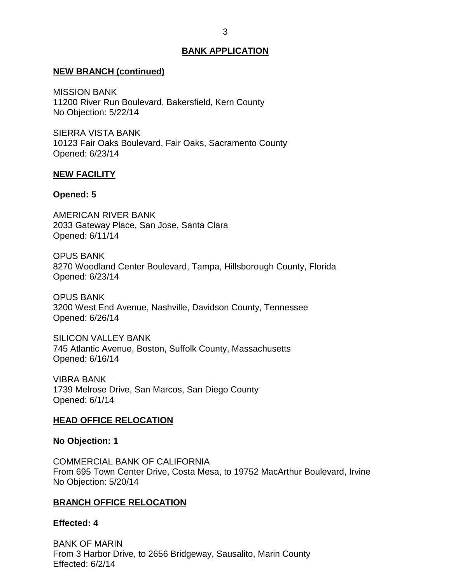#### <span id="page-3-0"></span>**NEW BRANCH (continued)**

 11200 River Run Boulevard, Bakersfield, Kern County No Objection: 5/22/14 MISSION BANK

 SIERRA VISTA BANK 10123 Fair Oaks Boulevard, Fair Oaks, Sacramento County Opened: 6/23/14

#### **NEW FACILITY**

#### **Opened: 5**

 2033 Gateway Place, San Jose, Santa Clara AMERICAN RIVER BANK Opened: 6/11/14

 8270 Woodland Center Boulevard, Tampa, Hillsborough County, Florida OPUS BANK Opened: 6/23/14

 3200 West End Avenue, Nashville, Davidson County, Tennessee OPUS BANK Opened: 6/26/14

 745 Atlantic Avenue, Boston, Suffolk County, Massachusetts SILICON VALLEY BANK Opened: 6/16/14

 1739 Melrose Drive, San Marcos, San Diego County VIBRA BANK Opened: 6/1/14

### **HEAD OFFICE RELOCATION**

#### **No Objection: 1**

 COMMERCIAL BANK OF CALIFORNIA From 695 Town Center Drive, Costa Mesa, to 19752 MacArthur Boulevard, Irvine No Objection: 5/20/14

### **BRANCH OFFICE RELOCATION**

#### **Effected: 4**

 From 3 Harbor Drive, to 2656 Bridgeway, Sausalito, Marin County BANK OF MARIN Effected: 6/2/14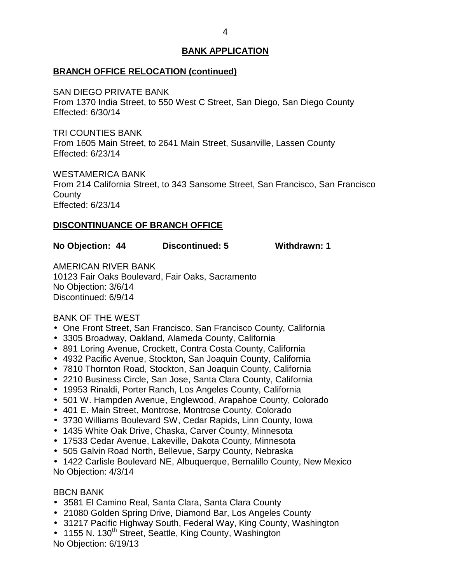## <span id="page-4-0"></span>**BRANCH OFFICE RELOCATION (continued)**

## SAN DIEGO PRIVATE BANK

 From 1370 India Street, to 550 West C Street, San Diego, San Diego County Effected: 6/30/14

 From 1605 Main Street, to 2641 Main Street, Susanville, Lassen County TRI COUNTIES BANK Effected: 6/23/14

 From 214 California Street, to 343 Sansome Street, San Francisco, San Francisco WESTAMERICA BANK **County** Effected: 6/23/14

## **DISCONTINUANCE OF BRANCH OFFICE**

## **No Objection: 44 Discontinued: 5 Withdrawn: 1**

 10123 Fair Oaks Boulevard, Fair Oaks, Sacramento No Objection: 3/6/14 AMERICAN RIVER BANK Discontinued: 6/9/14

BANK OF THE WEST

- One Front Street, San Francisco, San Francisco County, California
- 3305 Broadway, Oakland, Alameda County, California
- 891 Loring Avenue, Crockett, Contra Costa County, California
- 4932 Pacific Avenue, Stockton, San Joaquin County, California
- 7810 Thornton Road, Stockton, San Joaquin County, California
- 2210 Business Circle, San Jose, Santa Clara County, California
- 19953 Rinaldi, Porter Ranch, Los Angeles County, California
- 501 W. Hampden Avenue, Englewood, Arapahoe County, Colorado
- 401 E. Main Street, Montrose, Montrose County, Colorado
- 3730 Williams Boulevard SW, Cedar Rapids, Linn County, Iowa
- 1435 White Oak Drive, Chaska, Carver County, Minnesota
- 17533 Cedar Avenue, Lakeville, Dakota County, Minnesota
- 505 Galvin Road North, Bellevue, Sarpy County, Nebraska
- 1422 Carlisle Boulevard NE, Albuquerque, Bernalillo County, New Mexico No Objection: 4/3/14

## BBCN BANK

- 3581 El Camino Real, Santa Clara, Santa Clara County
- 21080 Golden Spring Drive, Diamond Bar, Los Angeles County
- 31217 Pacific Highway South, Federal Way, King County, Washington
- 1155 N. 130<sup>th</sup> Street, Seattle, King County, Washington

No Objection: 6/19/13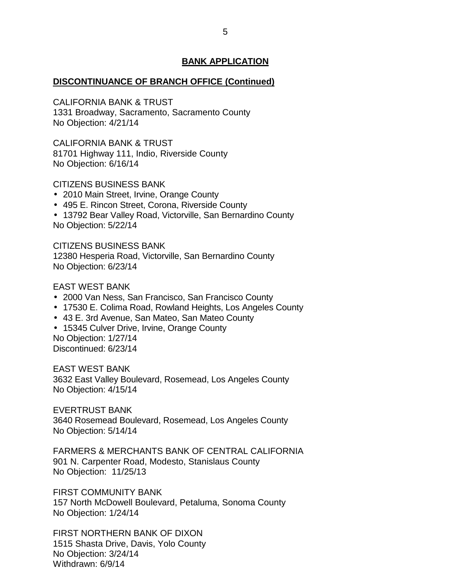## **DISCONTINUANCE OF BRANCH OFFICE (Continued)**

 CALIFORNIA BANK & TRUST 1331 Broadway, Sacramento, Sacramento County No Objection: 4/21/14

 CALIFORNIA BANK & TRUST 81701 Highway 111, Indio, Riverside County No Objection: 6/16/14

CITIZENS BUSINESS BANK

- 2010 Main Street, Irvine, Orange County
- 495 E. Rincon Street, Corona, Riverside County
- 13792 Bear Valley Road, Victorville, San Bernardino County No Objection: 5/22/14

 CITIZENS BUSINESS BANK 12380 Hesperia Road, Victorville, San Bernardino County No Objection: 6/23/14

### EAST WEST BANK

- 2000 Van Ness, San Francisco, San Francisco County
- 17530 E. Colima Road, Rowland Heights, Los Angeles County
- 43 E. 3rd Avenue, San Mateo, San Mateo County
- 15345 Culver Drive, Irvine, Orange County

No Objection: 1/27/14 Discontinued: 6/23/14

 3632 East Valley Boulevard, Rosemead, Los Angeles County No Objection: 4/15/14 EAST WEST BANK

 3640 Rosemead Boulevard, Rosemead, Los Angeles County No Objection: 5/14/14 EVERTRUST BANK

 FARMERS & MERCHANTS BANK OF CENTRAL CALIFORNIA 901 N. Carpenter Road, Modesto, Stanislaus County No Objection: 11/25/13

 157 North McDowell Boulevard, Petaluma, Sonoma County FIRST COMMUNITY BANK No Objection: 1/24/14

 1515 Shasta Drive, Davis, Yolo County No Objection: 3/24/14 FIRST NORTHERN BANK OF DIXON Withdrawn: 6/9/14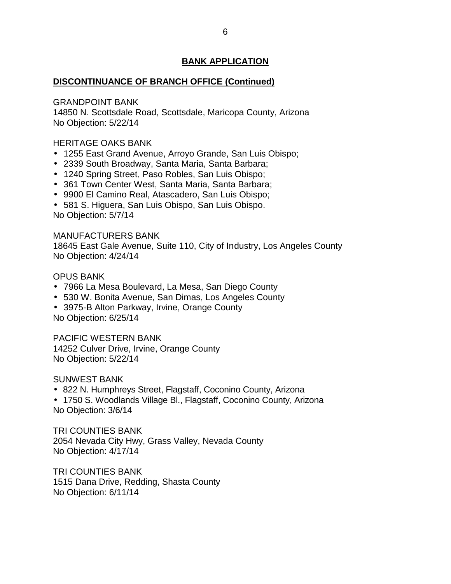## **DISCONTINUANCE OF BRANCH OFFICE (Continued)**

GRANDPOINT BANK

 14850 N. Scottsdale Road, Scottsdale, Maricopa County, Arizona No Objection: 5/22/14

### HERITAGE OAKS BANK

- 1255 East Grand Avenue, Arroyo Grande, San Luis Obispo;
- 2339 South Broadway, Santa Maria, Santa Barbara;
- 1240 Spring Street, Paso Robles, San Luis Obispo;
- 361 Town Center West, Santa Maria, Santa Barbara;
- 9900 El Camino Real, Atascadero, San Luis Obispo;

 581 S. Higuera, San Luis Obispo, San Luis Obispo. No Objection: 5/7/14

#### MANUFACTURERS BANK

 18645 East Gale Avenue, Suite 110, City of Industry, Los Angeles County No Objection: 4/24/14

#### OPUS BANK

- 7966 La Mesa Boulevard, La Mesa, San Diego County
- 530 W. Bonita Avenue, San Dimas, Los Angeles County
- 3975-B Alton Parkway, Irvine, Orange County No Objection: 6/25/14

PACIFIC WESTERN BANK

 14252 Culver Drive, Irvine, Orange County No Objection: 5/22/14

SUNWEST BANK

- 822 N. Humphreys Street, Flagstaff, Coconino County, Arizona
- 1750 S. Woodlands Village Bl., Flagstaff, Coconino County, Arizona No Objection: 3/6/14

 2054 Nevada City Hwy, Grass Valley, Nevada County No Objection: 4/17/14 TRI COUNTIES BANK

 1515 Dana Drive, Redding, Shasta County TRI COUNTIES BANK No Objection: 6/11/14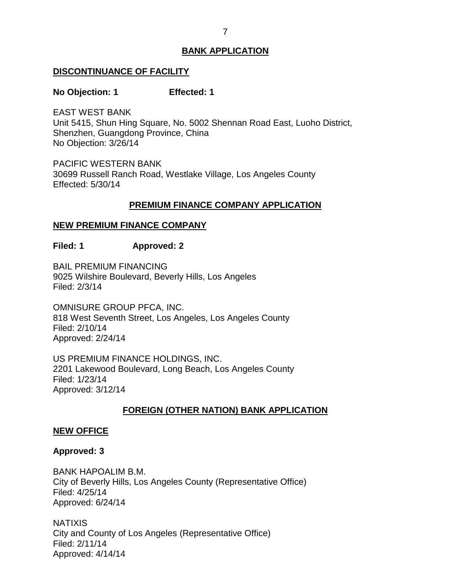#### <span id="page-7-0"></span>**DISCONTINUANCE OF FACILITY**

#### **No Objection: 1 Effected: 1**

 EAST WEST BANK Unit 5415, Shun Hing Square, No. 5002 Shennan Road East, Luoho District, Shenzhen, Guangdong Province, China No Objection: 3/26/14

 30699 Russell Ranch Road, Westlake Village, Los Angeles County PACIFIC WESTERN BANK Effected: 5/30/14

## **PREMIUM FINANCE COMPANY APPLICATION**

## **NEW PREMIUM FINANCE COMPANY**

**Filed: 1 Approved: 2** 

 BAIL PREMIUM FINANCING 9025 Wilshire Boulevard, Beverly Hills, Los Angeles Filed: 2/3/14

 OMNISURE GROUP PFCA, INC. 818 West Seventh Street, Los Angeles, Los Angeles County Filed: 2/10/14 Approved: 2/24/14

 US PREMIUM FINANCE HOLDINGS, INC. 2201 Lakewood Boulevard, Long Beach, Los Angeles County Filed: 1/23/14 Approved: 3/12/14

## **FOREIGN (OTHER NATION) BANK APPLICATION**

#### **NEW OFFICE**

#### **Approved: 3**

 City of Beverly Hills, Los Angeles County (Representative Office) BANK HAPOALIM B.M. Filed: 4/25/14 Approved: 6/24/14

 City and County of Los Angeles (Representative Office) **NATIXIS** Filed: 2/11/14 Approved: 4/14/14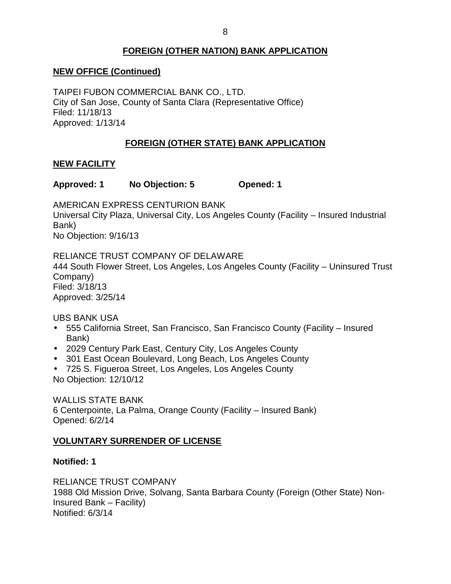## **FOREIGN (OTHER NATION) BANK APPLICATION**

## <span id="page-8-0"></span> **NEW OFFICE (Continued)**

 TAIPEI FUBON COMMERCIAL BANK CO., LTD. City of San Jose, County of Santa Clara (Representative Office) Filed: 11/18/13 Approved: 1/13/14

## **FOREIGN (OTHER STATE) BANK APPLICATION**

## **NEW FACILITY**

**Approved: 1 No Objection: 5 Opened: 1** 

 Universal City Plaza, Universal City, Los Angeles County (Facility – Insured Industrial AMERICAN EXPRESS CENTURION BANK Bank) No Objection: 9/16/13

 RELIANCE TRUST COMPANY OF DELAWARE 444 South Flower Street, Los Angeles, Los Angeles County (Facility – Uninsured Trust Company) Filed: 3/18/13 Approved: 3/25/14

UBS BANK USA

- 555 California Street, San Francisco, San Francisco County (Facility Insured Bank)
- 2029 Century Park East, Century City, Los Angeles County
- 301 East Ocean Boulevard, Long Beach, Los Angeles County
- 725 S. Figueroa Street, Los Angeles, Los Angeles County No Objection: 12/10/12

 WALLIS STATE BANK 6 Centerpointe, La Palma, Orange County (Facility – Insured Bank) Opened: 6/2/14

## **VOLUNTARY SURRENDER OF LICENSE**

## **Notified: 1**

 1988 Old Mission Drive, Solvang, Santa Barbara County (Foreign (Other State) Non-RELIANCE TRUST COMPANY Insured Bank – Facility) Notified: 6/3/14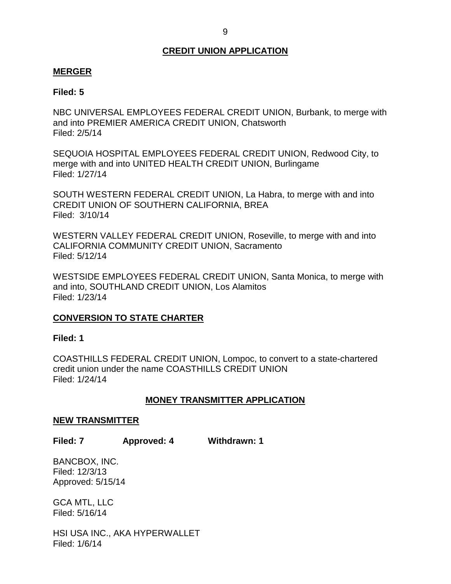## **CREDIT UNION APPLICATION**

#### <span id="page-9-0"></span>**MERGER**

#### **Filed: 5**

 NBC UNIVERSAL EMPLOYEES FEDERAL CREDIT UNION, Burbank, to merge with and into PREMIER AMERICA CREDIT UNION, Chatsworth Filed: 2/5/14

 SEQUOIA HOSPITAL EMPLOYEES FEDERAL CREDIT UNION, Redwood City, to merge with and into UNITED HEALTH CREDIT UNION, Burlingame Filed: 1/27/14

 SOUTH WESTERN FEDERAL CREDIT UNION, La Habra, to merge with and into Filed: 3/10/14 CREDIT UNION OF SOUTHERN CALIFORNIA, BREA

 WESTERN VALLEY FEDERAL CREDIT UNION, Roseville, to merge with and into CALIFORNIA COMMUNITY CREDIT UNION, Sacramento Filed: 5/12/14

 WESTSIDE EMPLOYEES FEDERAL CREDIT UNION, Santa Monica, to merge with and into, SOUTHLAND CREDIT UNION, Los Alamitos Filed: 1/23/14

## **CONVERSION TO STATE CHARTER**

#### **Filed: 1**

 COASTHILLS FEDERAL CREDIT UNION, Lompoc, to convert to a state-chartered credit union under the name COASTHILLS CREDIT UNION Filed: 1/24/14

### **MONEY TRANSMITTER APPLICATION**

#### **NEW TRANSMITTER**

**Filed: 7 Approved: 4 Withdrawn: 1** 

BANCBOX, INC. Filed: 12/3/13 Approved: 5/15/14

 GCA MTL, LLC Filed: 5/16/14

 HSI USA INC., AKA HYPERWALLET Filed: 1/6/14